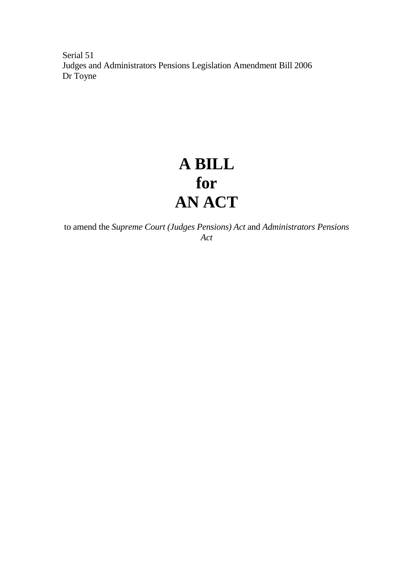Serial 51 Judges and Administrators Pensions Legislation Amendment Bill 2006 Dr Toyne

## **A BILL for AN ACT**

to amend the *Supreme Court (Judges Pensions) Act* and *Administrators Pensions Act*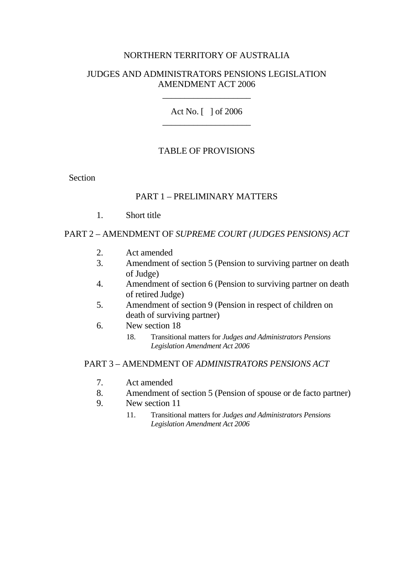## NORTHERN TERRITORY OF AUSTRALIA

#### JUDGES AND ADMINISTRATORS PENSIONS LEGISLATION AMENDMENT ACT 2006

\_\_\_\_\_\_\_\_\_\_\_\_\_\_\_\_\_\_\_\_

Act No. [ ] of 2006 \_\_\_\_\_\_\_\_\_\_\_\_\_\_\_\_\_\_\_\_

## TABLE OF PROVISIONS

**Section** 

#### PART 1 – PRELIMINARY MATTERS

1. Short title

#### PART 2 – AMENDMENT OF *SUPREME COURT (JUDGES PENSIONS) ACT*

- 2. Act amended
- 3. Amendment of section 5 (Pension to surviving partner on death of Judge)
- 4. Amendment of section 6 (Pension to surviving partner on death of retired Judge)
- 5. Amendment of section 9 (Pension in respect of children on death of surviving partner)
- 6. New section 18
	- 18. Transitional matters for *Judges and Administrators Pensions Legislation Amendment Act 2006*

#### PART 3 – AMENDMENT OF *ADMINISTRATORS PENSIONS ACT*

- 7. Act amended
- 8. Amendment of section 5 (Pension of spouse or de facto partner)
- 9. New section 11
	- 11. Transitional matters for *Judges and Administrators Pensions Legislation Amendment Act 2006*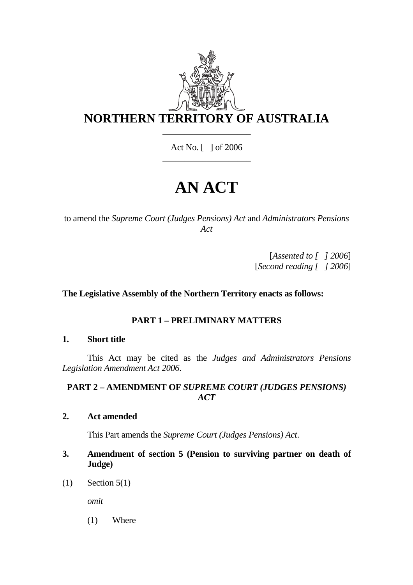

Act No. [ ] of 2006 \_\_\_\_\_\_\_\_\_\_\_\_\_\_\_\_\_\_\_\_

# **AN ACT**

to amend the *Supreme Court (Judges Pensions) Act* and *Administrators Pensions Act* 

> [*Assented to [ ] 2006*] [*Second reading [ ] 2006*]

## **The Legislative Assembly of the Northern Territory enacts as follows:**

## **PART 1 – PRELIMINARY MATTERS**

#### **1. Short title**

 This Act may be cited as the *Judges and Administrators Pensions Legislation Amendment Act 2006*.

## **PART 2 – AMENDMENT OF** *SUPREME COURT (JUDGES PENSIONS) ACT*

**2. Act amended** 

This Part amends the *Supreme Court (Judges Pensions) Act*.

- **3. Amendment of section 5 (Pension to surviving partner on death of Judge)**
- $(1)$  Section 5(1)

*omit* 

(1) Where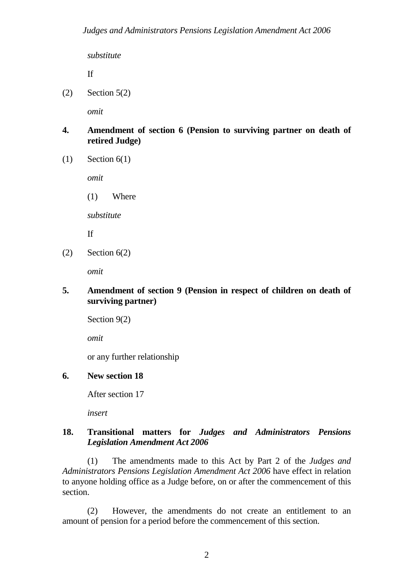*substitute*

If

 $(2)$  Section 5(2)

*omit* 

- **4. Amendment of section 6 (Pension to surviving partner on death of retired Judge)**
- $(1)$  Section  $6(1)$

*omit* 

(1) Where

*substitute*

If

 $(2)$  Section  $6(2)$ 

*omit* 

## **5. Amendment of section 9 (Pension in respect of children on death of surviving partner)**

Section 9(2)

*omit*

or any further relationship

## **6. New section 18**

After section 17

*insert* 

#### **18. Transitional matters for** *Judges and Administrators Pensions Legislation Amendment Act 2006*

 (1) The amendments made to this Act by Part 2 of the *Judges and Administrators Pensions Legislation Amendment Act 2006* have effect in relation to anyone holding office as a Judge before, on or after the commencement of this section.

 (2) However, the amendments do not create an entitlement to an amount of pension for a period before the commencement of this section.